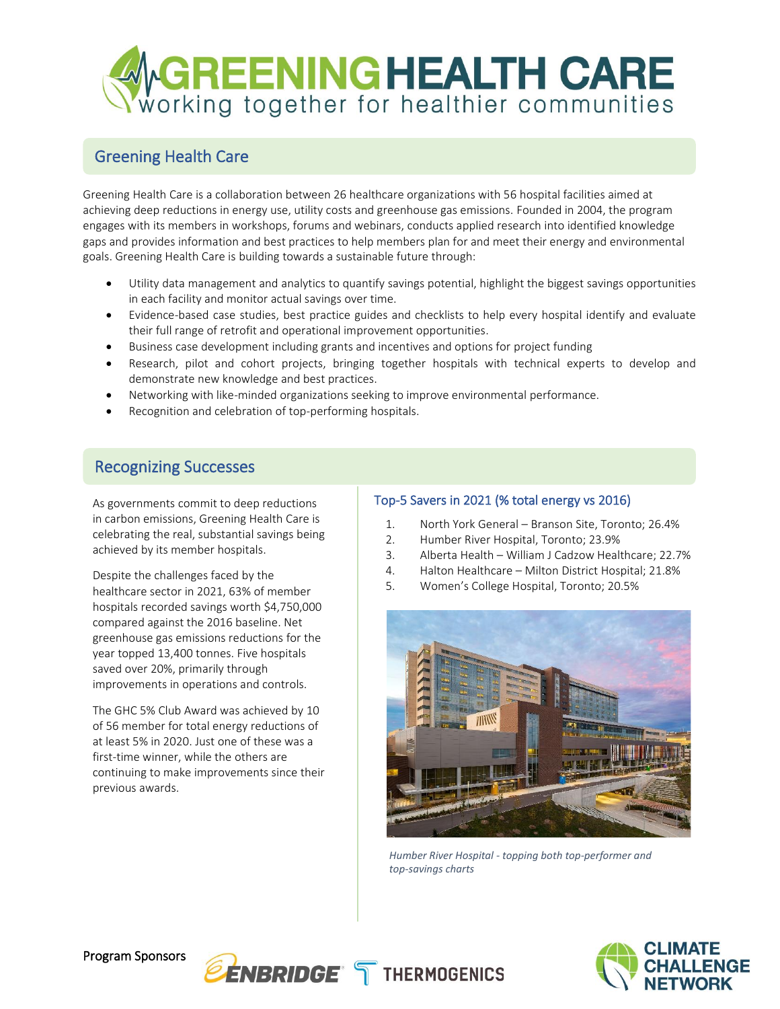

## Greening Health Care

Greening Health Care is a collaboration between 26 healthcare organizations with 56 hospital facilities aimed at achieving deep reductions in energy use, utility costs and greenhouse gas emissions. Founded in 2004, the program engages with its members in workshops, forums and webinars, conducts applied research into identified knowledge gaps and provides information and best practices to help members plan for and meet their energy and environmental goals. Greening Health Care is building towards a sustainable future through:

- Utility data management and analytics to quantify savings potential, highlight the biggest savings opportunities in each facility and monitor actual savings over time.
- Evidence-based case studies, best practice guides and checklists to help every hospital identify and evaluate their full range of retrofit and operational improvement opportunities.
- Business case development including grants and incentives and options for project funding
- Research, pilot and cohort projects, bringing together hospitals with technical experts to develop and demonstrate new knowledge and best practices.
- Networking with like-minded organizations seeking to improve environmental performance.
- Recognition and celebration of top-performing hospitals.

## Recognizing Successes

As governments commit to deep reductions in carbon emissions, Greening Health Care is celebrating the real, substantial savings being achieved by its member hospitals.

Despite the challenges faced by the healthcare sector in 2021, 63% of member hospitals recorded savings worth \$4,750,000 compared against the 2016 baseline. Net greenhouse gas emissions reductions for the year topped 13,400 tonnes. Five hospitals saved over 20%, primarily through improvements in operations and controls.

The GHC 5% Club Award was achieved by 10 of 56 member for total energy reductions of at least 5% in 2020. Just one of these was a first-time winner, while the others are continuing to make improvements since their previous awards.

### Top-5 Savers in 2021 (% total energy vs 2016)

- 1. North York General Branson Site, Toronto; 26.4%
- 2. Humber River Hospital, Toronto; 23.9%
- 3. Alberta Health William J Cadzow Healthcare; 22.7%
- 4. Halton Healthcare Milton District Hospital; 21.8%
- 5. Women's College Hospital, Toronto; 20.5%



*Humber River Hospital - topping both top-performer and top-savings charts*



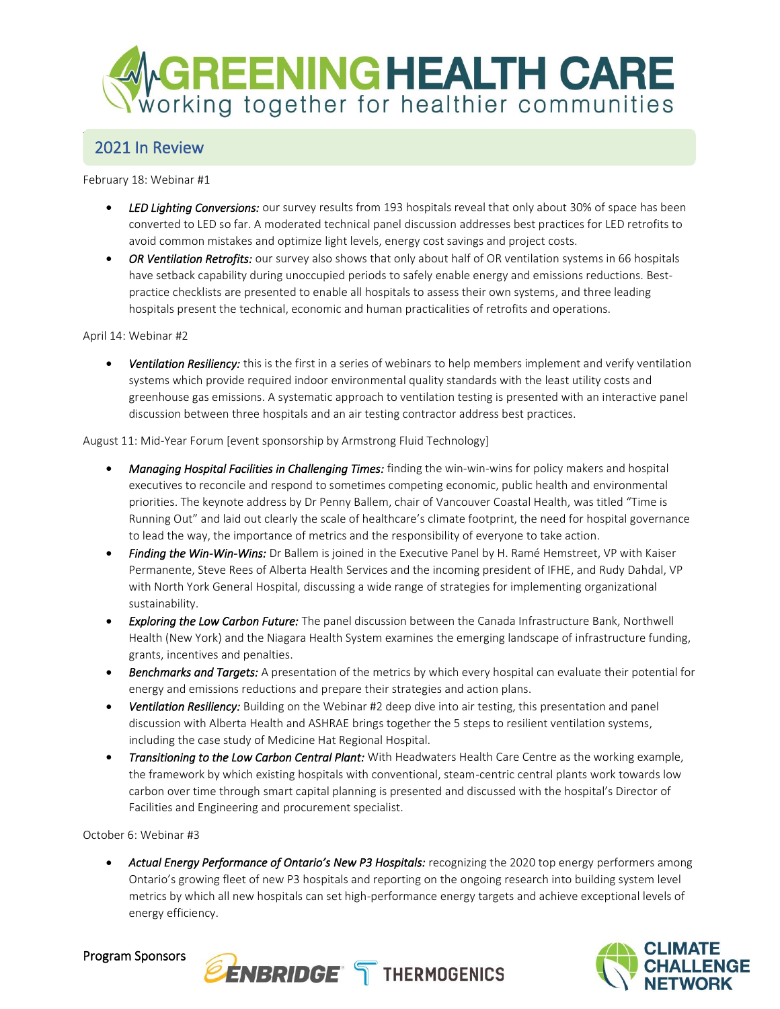

#### $T_{\rm 2020}$  Greening Health Care Program was delivered online and tackled a range of immediate and longer-term challenges and opportunities. Recordings of all events are available on the program website at [www.greeninghc.com.](http://www.greeninghc.com/) 2021 In Review

February 18: Webinar #1

- *LED Lighting Conversions:* our survey results from 193 hospitals reveal that only about 30% of space has been converted to LED so far. A moderated technical panel discussion addresses best practices for LED retrofits to avoid common mistakes and optimize light levels, energy cost savings and project costs.
- *OR Ventilation Retrofits:* our survey also shows that only about half of OR ventilation systems in 66 hospitals have setback capability during unoccupied periods to safely enable energy and emissions reductions. Bestpractice checklists are presented to enable all hospitals to assess their own systems, and three leading hospitals present the technical, economic and human practicalities of retrofits and operations.

April 14: Webinar #2

• *Ventilation Resiliency:* this is the first in a series of webinars to help members implement and verify ventilation systems which provide required indoor environmental quality standards with the least utility costs and greenhouse gas emissions. A systematic approach to ventilation testing is presented with an interactive panel discussion between three hospitals and an air testing contractor address best practices.

August 11: Mid-Year Forum [event sponsorship by Armstrong Fluid Technology]

- *Managing Hospital Facilities in Challenging Times:* finding the win-win-wins for policy makers and hospital executives to reconcile and respond to sometimes competing economic, public health and environmental priorities. The keynote address by Dr Penny Ballem, chair of Vancouver Coastal Health, was titled "Time is Running Out" and laid out clearly the scale of healthcare's climate footprint, the need for hospital governance to lead the way, the importance of metrics and the responsibility of everyone to take action.
- *Finding the Win-Win-Wins:* Dr Ballem is joined in the Executive Panel by H. Ramé Hemstreet, VP with Kaiser Permanente, Steve Rees of Alberta Health Services and the incoming president of IFHE, and Rudy Dahdal, VP with North York General Hospital, discussing a wide range of strategies for implementing organizational sustainability.
- *Exploring the Low Carbon Future:* The panel discussion between the Canada Infrastructure Bank, Northwell Health (New York) and the Niagara Health System examines the emerging landscape of infrastructure funding, grants, incentives and penalties.
- *Benchmarks and Targets:* A presentation of the metrics by which every hospital can evaluate their potential for energy and emissions reductions and prepare their strategies and action plans.
- *Ventilation Resiliency:* Building on the Webinar #2 deep dive into air testing, this presentation and panel discussion with Alberta Health and ASHRAE brings together the 5 steps to resilient ventilation systems, including the case study of Medicine Hat Regional Hospital.
- *Transitioning to the Low Carbon Central Plant:* With Headwaters Health Care Centre as the working example, the framework by which existing hospitals with conventional, steam-centric central plants work towards low carbon over time through smart capital planning is presented and discussed with the hospital's Director of Facilities and Engineering and procurement specialist.

October 6: Webinar #3

• Actual Energy Performance of Ontario's New P3 Hospitals: recognizing the 2020 top energy performers among Ontario's growing fleet of new P3 hospitals and reporting on the ongoing research into building system level metrics by which all new hospitals can set high-performance energy targets and achieve exceptional levels of energy efficiency.



Program Sponsors

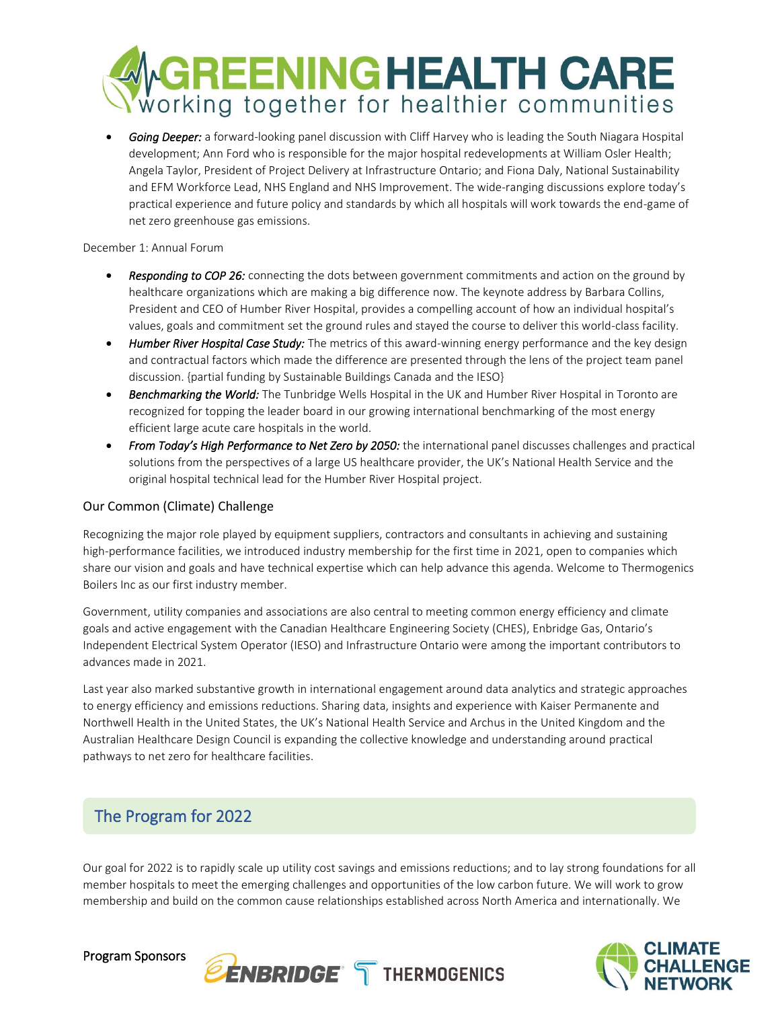

• *Going Deeper:* a forward-looking panel discussion with Cliff Harvey who is leading the South Niagara Hospital development; Ann Ford who is responsible for the major hospital redevelopments at William Osler Health; Angela Taylor, President of Project Delivery at Infrastructure Ontario; and Fiona Daly, National Sustainability and EFM Workforce Lead, NHS England and NHS Improvement. The wide-ranging discussions explore today's practical experience and future policy and standards by which all hospitals will work towards the end-game of net zero greenhouse gas emissions.

December 1: Annual Forum

- *Responding to COP 26:* connecting the dots between government commitments and action on the ground by healthcare organizations which are making a big difference now. The keynote address byBarbara Collins, President and CEO of Humber River Hospital, provides a compelling account of how an individual hospital's values, goals and commitment set the ground rules and stayed the course to deliver this world-class facility.
- *Humber River Hospital Case Study:* The metrics of this award-winning energy performance and the key design and contractual factors which made the difference are presented through the lens of the project team panel discussion. {partial funding by Sustainable Buildings Canada and the IESO}
- *Benchmarking the World:* The Tunbridge Wells Hospital in the UK and Humber River Hospital in Toronto are recognized for topping the leader board in our growing international benchmarking of the most energy efficient large acute care hospitals in the world.
- *From Today's High Performance to Net Zero by 2050:* the international panel discusses challenges and practical solutions from the perspectives of a large US healthcare provider, the UK's National Health Service and the original hospital technical lead for the Humber River Hospital project.

### Our Common (Climate) Challenge

Recognizing the major role played by equipment suppliers, contractors and consultants in achieving and sustaining high-performance facilities, we introduced industry membership for the first time in 2021, open to companies which share our vision and goals and have technical expertise which can help advance this agenda. Welcome to Thermogenics Boilers Inc as our first industry member.

Government, utility companies and associations are also central to meeting common energy efficiency and climate goals and active engagement with the Canadian Healthcare Engineering Society (CHES), Enbridge Gas, Ontario's Independent Electrical System Operator (IESO) and Infrastructure Ontario were among the important contributors to advances made in 2021.

Last year also marked substantive growth in international engagement around data analytics and strategic approaches to energy efficiency and emissions reductions. Sharing data, insights and experience with Kaiser Permanente and Northwell Health in the United States, the UK's National Health Service and Archus in the United Kingdom and the Australian Healthcare Design Council is expanding the collective knowledge and understanding around practical pathways to net zero for healthcare facilities.

## The Program for 2022

Our goal for 2022 is to rapidly scale up utility cost savings and emissions reductions; and to lay strong foundations for all member hospitals to meet the emerging challenges and opportunities of the low carbon future. We will work to grow membership and build on the common cause relationships established across North America and internationally. We





Program Sponsors